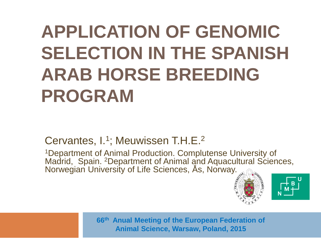### **APPLICATION OF GENOMIC SELECTION IN THE SPANISH ARAB HORSE BREEDING PROGRAM**

Cervantes, I.<sup>1</sup>; Meuwissen T.H.E.<sup>2</sup>

<sup>1</sup>Department of Animal Production. Complutense University of Madrid, Spain. <sup>2</sup>Department of Animal and Aquacultural Sciences, Norwegian University of Life Sciences, Ås, Norway.





**66th Anual Meeting of the European Federation of Animal Science, Warsaw, Poland, 2015**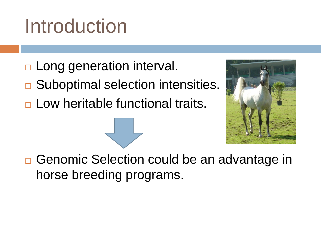## Introduction

- □ Long generation interval.
- **□ Suboptimal selection intensities.**
- □ Low heritable functional traits.



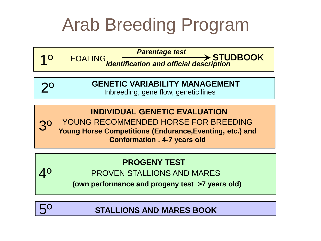#### Arab Breeding Program

**FOALING**<br>**FOALING** 

*Identification and official description*

#### **GENETIC VARIABILITY MANAGEMENT**

Inbreeding, gene flow, genetic lines

**INDIVIDUAL GENETIC EVALUATION** YOUNG RECOMMENDED HORSE FOR BREEDING **Young Horse Competitions (Endurance,Eventing, etc.) and Conformation . 4-7 years old** 3º

#### **PROGENY TEST**

PROVEN STALLIONS AND MARES

**(own performance and progeny test >7 years old)** 



4º

1º

2º

**STALLIONS AND MARES BOOK**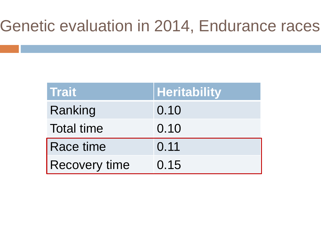#### Genetic evaluation in 2014, Endurance races

| <b>Trait</b>         | <b>Heritability</b> |
|----------------------|---------------------|
| Ranking              | 0.10                |
| <b>Total time</b>    | 0.10                |
| Race time            | 0.11                |
| <b>Recovery time</b> | 0.15                |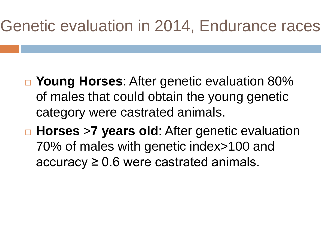#### Genetic evaluation in 2014, Endurance races

- **Young Horses**: After genetic evaluation 80% of males that could obtain the young genetic category were castrated animals.
- **Horses** >**7 years old**: After genetic evaluation 70% of males with genetic index>100 and  $accuracy \geq 0.6$  were castrated animals.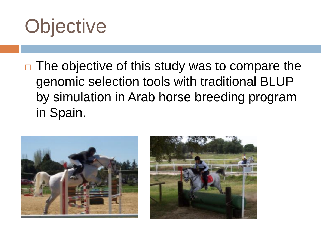

 $\Box$  The objective of this study was to compare the genomic selection tools with traditional BLUP by simulation in Arab horse breeding program in Spain.



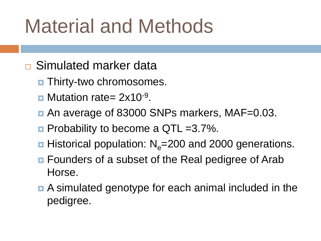## Material and Methods

- **□ Simulated marker data** 
	- $\blacksquare$  Thirty-two chromosomes.
	- $\blacksquare$  Mutation rate= 2x10<sup>-9</sup>.
	- An average of 83000 SNPs markers, MAF=0.03.
	- **Probability to become a QTL =3.7%.**
	- **Historical population: N**<sub>e</sub>=200 and 2000 generations.
	- **E** Founders of a subset of the Real pedigree of Arab Horse.
	- A simulated genotype for each animal included in the pedigree.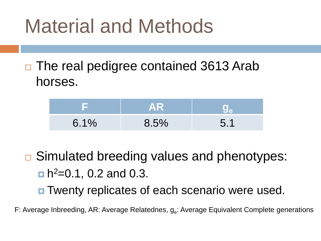### Material and Methods

 $\Box$  The real pedigree contained 3613 Arab horses.

|      | AR   |   |
|------|------|---|
| 6.1% | 8.5% | 5 |

- **□ Simulated breeding values and phenotypes:**  $n^2$ =0.1, 0.2 and 0.3.
	- **□** Twenty replicates of each scenario were used.
- F: Average Inbreeding, AR: Average Relatednes, g<sub>e</sub>: Average Equivalent Complete generations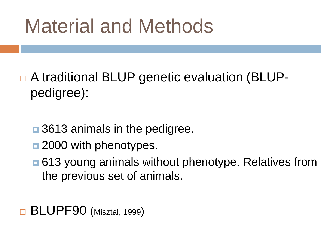## Material and Methods

- □ A traditional BLUP genetic evaluation (BLUPpedigree):
	- **□** 3613 animals in the pedigree.
	- $\blacksquare$  2000 with phenotypes.
	- ■613 young animals without phenotype. Relatives from the previous set of animals.
- BLUPF90 (Misztal, 1999)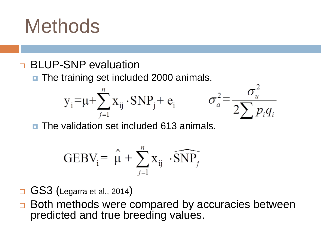### **Methods**

#### BLUP-SNP evaluation

**n** The training set included 2000 animals.

$$
y_i = \mu + \sum_{j=1}^n x_{ij} \cdot SNP_j + e_i
$$



**The validation set included 613 animals.** 

$$
GEBV_{i} = \hat{\mu} + \sum_{j=1}^{n} X_{ij} \cdot \widehat{SNP_{j}}
$$

- $\Box$  GS3 (Legarra et al., 2014)
- $\Box$  Both methods were compared by accuracies between predicted and true breeding values.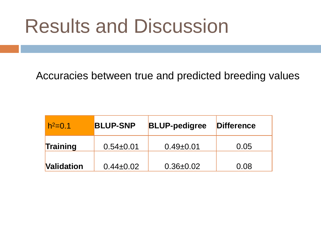Accuracies between true and predicted breeding values

| $h^2=0.1$         | <b>BLUP-SNP</b> | <b>BLUP-pedigree</b> | <b>Difference</b> |
|-------------------|-----------------|----------------------|-------------------|
| <b>Training</b>   | $0.54 \pm 0.01$ | $0.49 \pm 0.01$      | 0.05              |
| <b>Validation</b> | $0.44 \pm 0.02$ | $0.36 \pm 0.02$      | 0.08              |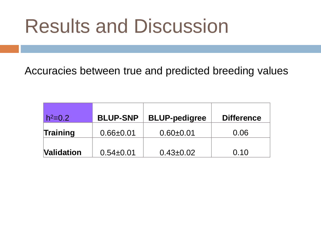Accuracies between true and predicted breeding values

| $h^2 = 0.2$       | <b>BLUP-SNP</b> | <b>BLUP-pedigree</b> | <b>Difference</b> |
|-------------------|-----------------|----------------------|-------------------|
| Training          | $0.66 + 0.01$   | $0.60 + 0.01$        | 0.06              |
| <b>Validation</b> | $0.54 \pm 0.01$ | $0.43 \pm 0.02$      | 0.10              |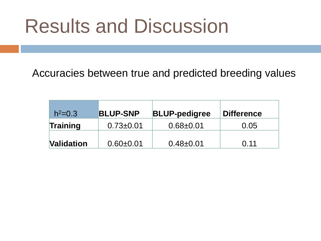Accuracies between true and predicted breeding values

| $h^2 = 0.3$       | <b>BLUP-SNP</b> | <b>BLUP-pedigree</b> | <b>Difference</b> |
|-------------------|-----------------|----------------------|-------------------|
| Training          | $0.73 \pm 0.01$ | $0.68 + 0.01$        | 0.05              |
| <b>Validation</b> | $0.60 + 0.01$   | $0.48 + 0.01$        | 0.11              |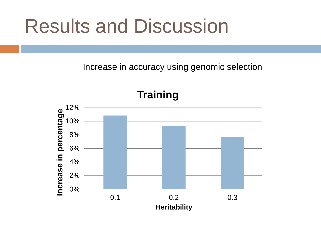Increase in accuracy using genomic selection

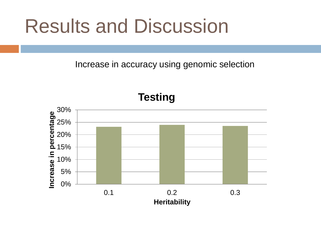Increase in accuracy using genomic selection

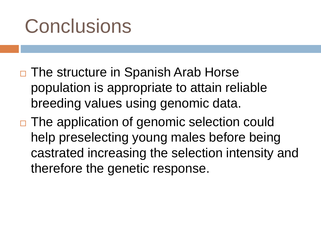### **Conclusions**

- □ The structure in Spanish Arab Horse population is appropriate to attain reliable breeding values using genomic data.
- □ The application of genomic selection could help preselecting young males before being castrated increasing the selection intensity and therefore the genetic response.